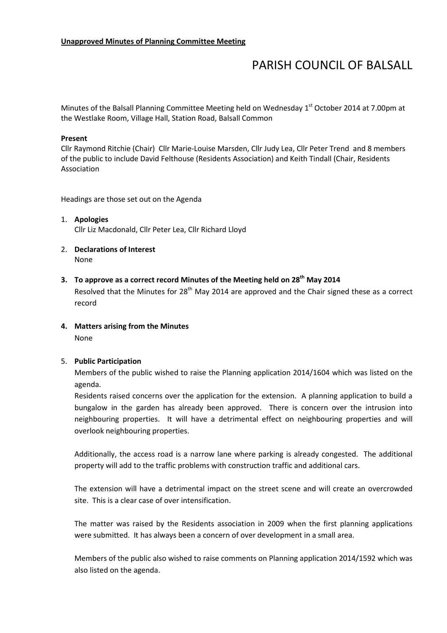# PARISH COUNCIL OF BALSALL

Minutes of the Balsall Planning Committee Meeting held on Wednesday 1<sup>st</sup> October 2014 at 7.00pm at the Westlake Room, Village Hall, Station Road, Balsall Common

#### Present

Cllr Raymond Ritchie (Chair) Cllr Marie-Louise Marsden, Cllr Judy Lea, Cllr Peter Trend and 8 members of the public to include David Felthouse (Residents Association) and Keith Tindall (Chair, Residents Association

Headings are those set out on the Agenda

- 1. Apologies Cllr Liz Macdonald, Cllr Peter Lea, Cllr Richard Lloyd
- 2. Declarations of Interest None
- 3. To approve as a correct record Minutes of the Meeting held on  $28<sup>th</sup>$  May 2014 Resolved that the Minutes for  $28<sup>th</sup>$  May 2014 are approved and the Chair signed these as a correct record
- 4. Matters arising from the Minutes None

#### 5. Public Participation

Members of the public wished to raise the Planning application 2014/1604 which was listed on the agenda.

Residents raised concerns over the application for the extension. A planning application to build a bungalow in the garden has already been approved. There is concern over the intrusion into neighbouring properties. It will have a detrimental effect on neighbouring properties and will overlook neighbouring properties.

Additionally, the access road is a narrow lane where parking is already congested. The additional property will add to the traffic problems with construction traffic and additional cars.

The extension will have a detrimental impact on the street scene and will create an overcrowded site. This is a clear case of over intensification.

The matter was raised by the Residents association in 2009 when the first planning applications were submitted. It has always been a concern of over development in a small area.

Members of the public also wished to raise comments on Planning application 2014/1592 which was also listed on the agenda.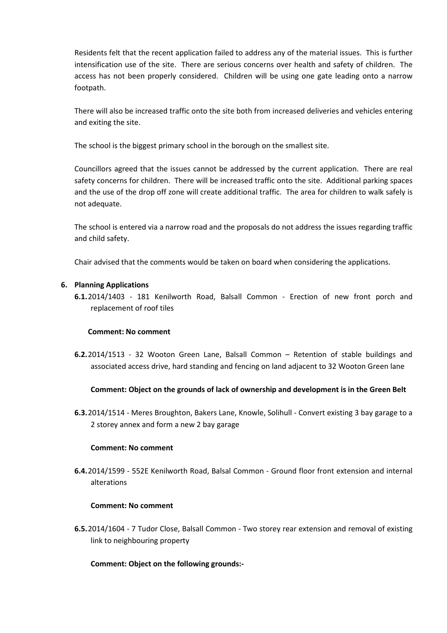Residents felt that the recent application failed to address any of the material issues. This is further intensification use of the site. There are serious concerns over health and safety of children. The access has not been properly considered. Children will be using one gate leading onto a narrow footpath.

There will also be increased traffic onto the site both from increased deliveries and vehicles entering and exiting the site.

The school is the biggest primary school in the borough on the smallest site.

Councillors agreed that the issues cannot be addressed by the current application. There are real safety concerns for children. There will be increased traffic onto the site. Additional parking spaces and the use of the drop off zone will create additional traffic. The area for children to walk safely is not adequate.

The school is entered via a narrow road and the proposals do not address the issues regarding traffic and child safety.

Chair advised that the comments would be taken on board when considering the applications.

## 6. Planning Applications

6.1.2014/1403 - 181 Kenilworth Road, Balsall Common - Erection of new front porch and replacement of roof tiles

#### Comment: No comment

6.2.2014/1513 - 32 Wooton Green Lane, Balsall Common – Retention of stable buildings and associated access drive, hard standing and fencing on land adjacent to 32 Wooton Green lane

#### Comment: Object on the grounds of lack of ownership and development is in the Green Belt

6.3.2014/1514 - Meres Broughton, Bakers Lane, Knowle, Solihull - Convert existing 3 bay garage to a 2 storey annex and form a new 2 bay garage

#### Comment: No comment

6.4.2014/1599 - 552E Kenilworth Road, Balsal Common - Ground floor front extension and internal alterations

## Comment: No comment

6.5.2014/1604 - 7 Tudor Close, Balsall Common - Two storey rear extension and removal of existing link to neighbouring property

# Comment: Object on the following grounds:-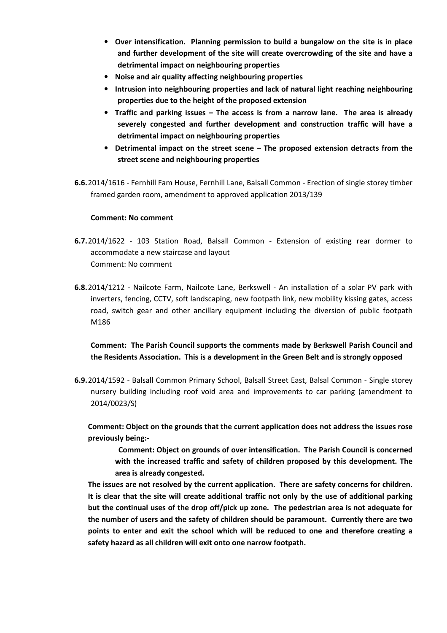- Over intensification. Planning permission to build a bungalow on the site is in place and further development of the site will create overcrowding of the site and have a detrimental impact on neighbouring properties
- Noise and air quality affecting neighbouring properties
- Intrusion into neighbouring properties and lack of natural light reaching neighbouring properties due to the height of the proposed extension
- Traffic and parking issues The access is from a narrow lane. The area is already severely congested and further development and construction traffic will have a detrimental impact on neighbouring properties
- Detrimental impact on the street scene The proposed extension detracts from the street scene and neighbouring properties
- 6.6.2014/1616 Fernhill Fam House, Fernhill Lane, Balsall Common Erection of single storey timber framed garden room, amendment to approved application 2013/139

#### Comment: No comment

- 6.7.2014/1622 103 Station Road, Balsall Common Extension of existing rear dormer to accommodate a new staircase and layout Comment: No comment
- 6.8.2014/1212 Nailcote Farm, Nailcote Lane, Berkswell An installation of a solar PV park with inverters, fencing, CCTV, soft landscaping, new footpath link, new mobility kissing gates, access road, switch gear and other ancillary equipment including the diversion of public footpath M186

Comment: The Parish Council supports the comments made by Berkswell Parish Council and the Residents Association. This is a development in the Green Belt and is strongly opposed

6.9.2014/1592 - Balsall Common Primary School, Balsall Street East, Balsal Common - Single storey nursery building including roof void area and improvements to car parking (amendment to 2014/0023/S)

Comment: Object on the grounds that the current application does not address the issues rose previously being:-

Comment: Object on grounds of over intensification. The Parish Council is concerned with the increased traffic and safety of children proposed by this development. The area is already congested.

The issues are not resolved by the current application. There are safety concerns for children. It is clear that the site will create additional traffic not only by the use of additional parking but the continual uses of the drop off/pick up zone. The pedestrian area is not adequate for the number of users and the safety of children should be paramount. Currently there are two points to enter and exit the school which will be reduced to one and therefore creating a safety hazard as all children will exit onto one narrow footpath.